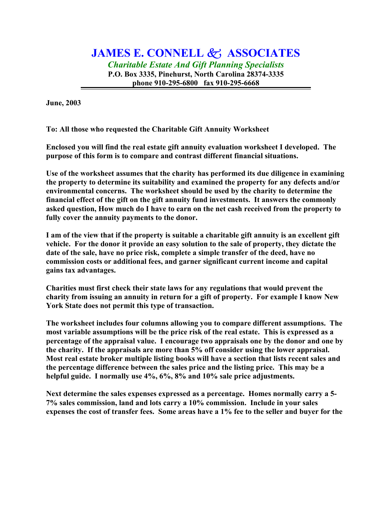**JAMES E. CONNELL & ASSOCIATES** *Charitable Estate And Gift Planning Specialists* **P.O. Box 3335, Pinehurst, North Carolina 28374-3335 phone 910-295-6800 fax 910-295-6668**

**June, 2003**

**To: All those who requested the Charitable Gift Annuity Worksheet**

**Enclosed you will find the real estate gift annuity evaluation worksheet I developed. The purpose of this form is to compare and contrast different financial situations.** 

**Use of the worksheet assumes that the charity has performed its due diligence in examining the property to determine its suitability and examined the property for any defects and/or environmental concerns. The worksheet should be used by the charity to determine the financial effect of the gift on the gift annuity fund investments. It answers the commonly asked question, How much do I have to earn on the net cash received from the property to fully cover the annuity payments to the donor.**

**I am of the view that if the property is suitable a charitable gift annuity is an excellent gift vehicle. For the donor it provide an easy solution to the sale of property, they dictate the date of the sale, have no price risk, complete a simple transfer of the deed, have no commission costs or additional fees, and garner significant current income and capital gains tax advantages.**

**Charities must first check their state laws for any regulations that would prevent the charity from issuing an annuity in return for a gift of property. For example I know New York State does not permit this type of transaction.** 

**The worksheet includes four columns allowing you to compare different assumptions. The most variable assumptions will be the price risk of the real estate. This is expressed as a percentage of the appraisal value. I encourage two appraisals one by the donor and one by the charity. If the appraisals are more than 5% off consider using the lower appraisal. Most real estate broker multiple listing books will have a section that lists recent sales and the percentage difference between the sales price and the listing price. This may be a helpful guide. I normally use 4%, 6%, 8% and 10% sale price adjustments.**

**Next determine the sales expenses expressed as a percentage. Homes normally carry a 5- 7% sales commission, land and lots carry a 10% commission. Include in your sales expenses the cost of transfer fees. Some areas have a 1% fee to the seller and buyer for the**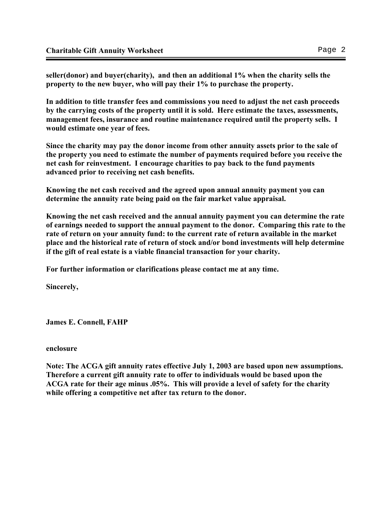**seller(donor) and buyer(charity), and then an additional 1% when the charity sells the property to the new buyer, who will pay their 1% to purchase the property.**

**In addition to title transfer fees and commissions you need to adjust the net cash proceeds by the carrying costs of the property until it is sold. Here estimate the taxes, assessments, management fees, insurance and routine maintenance required until the property sells. I would estimate one year of fees.**

**Since the charity may pay the donor income from other annuity assets prior to the sale of the property you need to estimate the number of payments required before you receive the net cash for reinvestment. I encourage charities to pay back to the fund payments advanced prior to receiving net cash benefits.** 

**Knowing the net cash received and the agreed upon annual annuity payment you can determine the annuity rate being paid on the fair market value appraisal.** 

**Knowing the net cash received and the annual annuity payment you can determine the rate of earnings needed to support the annual payment to the donor. Comparing this rate to the rate of return on your annuity fund: to the current rate of return available in the market place and the historical rate of return of stock and/or bond investments will help determine if the gift of real estate is a viable financial transaction for your charity.**

**For further information or clarifications please contact me at any time.** 

**Sincerely,**

**James E. Connell, FAHP**

**enclosure**

**Note: The ACGA gift annuity rates effective July 1, 2003 are based upon new assumptions. Therefore a current gift annuity rate to offer to individuals would be based upon the ACGA rate for their age minus .05%. This will provide a level of safety for the charity while offering a competitive net after tax return to the donor.**